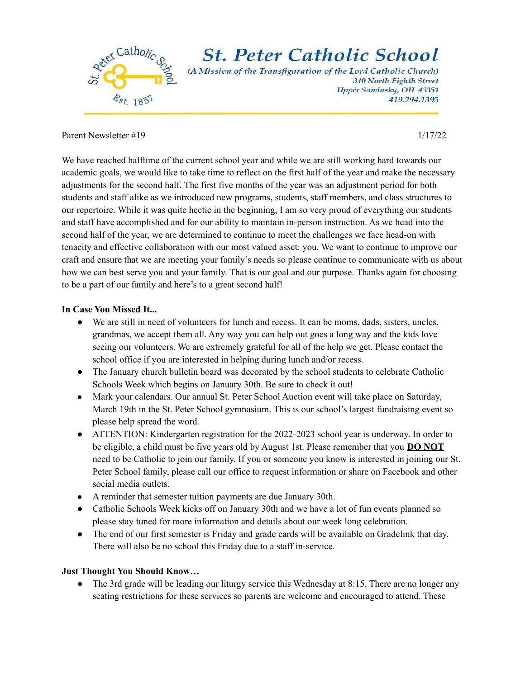

## Parent Newsletter #19 1/17/22

We have reached halftime of the current school year and while we are still working hard towards our academic goals, we would like to take time to reflect on the first half of the year and make the necessary adjustments for the second half. The first five months of the year was an adjustment period for both students and staff alike as we introduced new programs, students, staff members, and class structures to our repertoire. While it was quite hectic in the beginning, I am so very proud of everything our students and staff have accomplished and for our ability to maintain in-person instruction. As we head into the second half of the year, we are determined to continue to meet the challenges we face head-on with tenacity and effective collaboration with our most valued asset: you. We want to continue to improve our craft and ensure that we are meeting your family's needs so please continue to communicate with us about how we can best serve you and your family. That is our goal and our purpose. Thanks again for choosing to be a part of our family and here's to a great second half!

## **In Case You Missed It...**

- We are still in need of volunteers for lunch and recess. It can be moms, dads, sisters, uncles, grandmas, we accept them all. Any way you can help out goes a long way and the kids love seeing our volunteers. We are extremely grateful for all of the help we get. Please contact the school office if you are interested in helping during lunch and/or recess.
- The January church bulletin board was decorated by the school students to celebrate Catholic Schools Week which begins on January 30th. Be sure to check it out!
- Mark your calendars. Our annual St. Peter School Auction event will take place on Saturday, March 19th in the St. Peter School gymnasium. This is our school's largest fundraising event so please help spread the word.
- ATTENTION: Kindergarten registration for the 2022-2023 school year is underway. In order to be eligible, a child must be five years old by August 1st. Please remember that you **DO NOT** need to be Catholic to join our family. If you or someone you know is interested in joining our St. Peter School family, please call our office to request information or share on Facebook and other social media outlets.
- A reminder that semester tuition payments are due January 30th.
- Catholic Schools Week kicks off on January 30th and we have a lot of fun events planned so please stay tuned for more information and details about our week long celebration.
- The end of our first semester is Friday and grade cards will be available on Gradelink that day. There will also be no school this Friday due to a staff in-service.

## **Just Thought You Should Know…**

• The 3rd grade will be leading our liturgy service this Wednesday at 8:15. There are no longer any seating restrictions for these services so parents are welcome and encouraged to attend. These